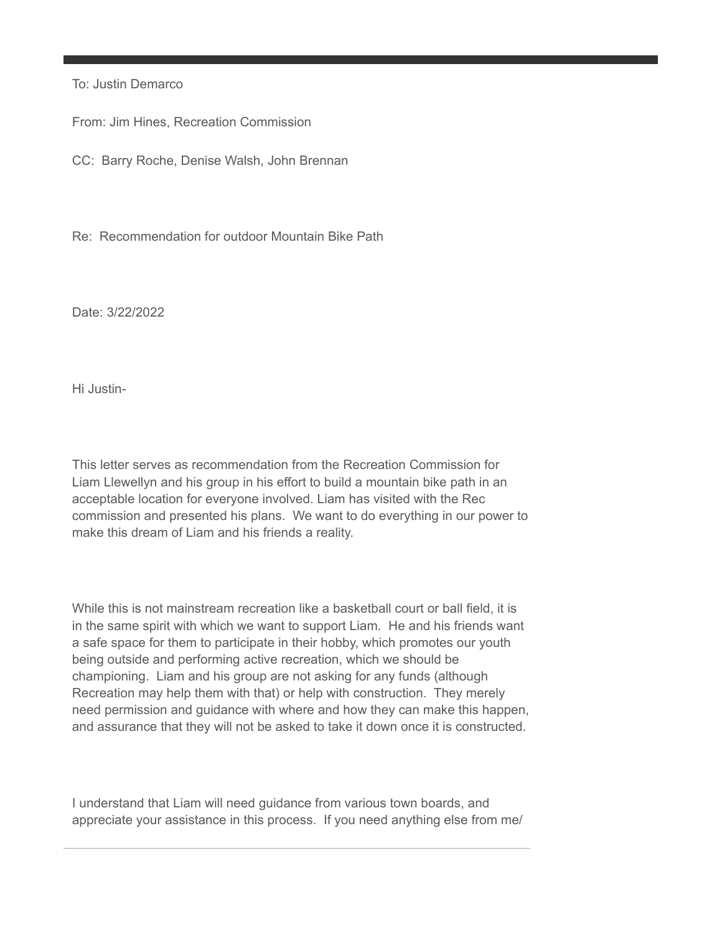To: Justin Demarco

From: Jim Hines, Recreation Commission

CC: Barry Roche, Denise Walsh, John Brennan

Re: Recommendation for outdoor Mountain Bike Path

Date: 3/22/2022

Hi Justin-

This letter serves as recommendation from the Recreation Commission for Liam Llewellyn and his group in his effort to build a mountain bike path in an acceptable location for everyone involved. Liam has visited with the Rec commission and presented his plans. We want to do everything in our power to make this dream of Liam and his friends a reality.

While this is not mainstream recreation like a basketball court or ball field, it is in the same spirit with which we want to support Liam. He and his friends want a safe space for them to participate in their hobby, which promotes our youth being outside and performing active recreation, which we should be championing. Liam and his group are not asking for any funds (although Recreation may help them with that) or help with construction. They merely need permission and guidance with where and how they can make this happen, and assurance that they will not be asked to take it down once it is constructed.

I understand that Liam will need guidance from various town boards, and appreciate your assistance in this process. If you need anything else from me/